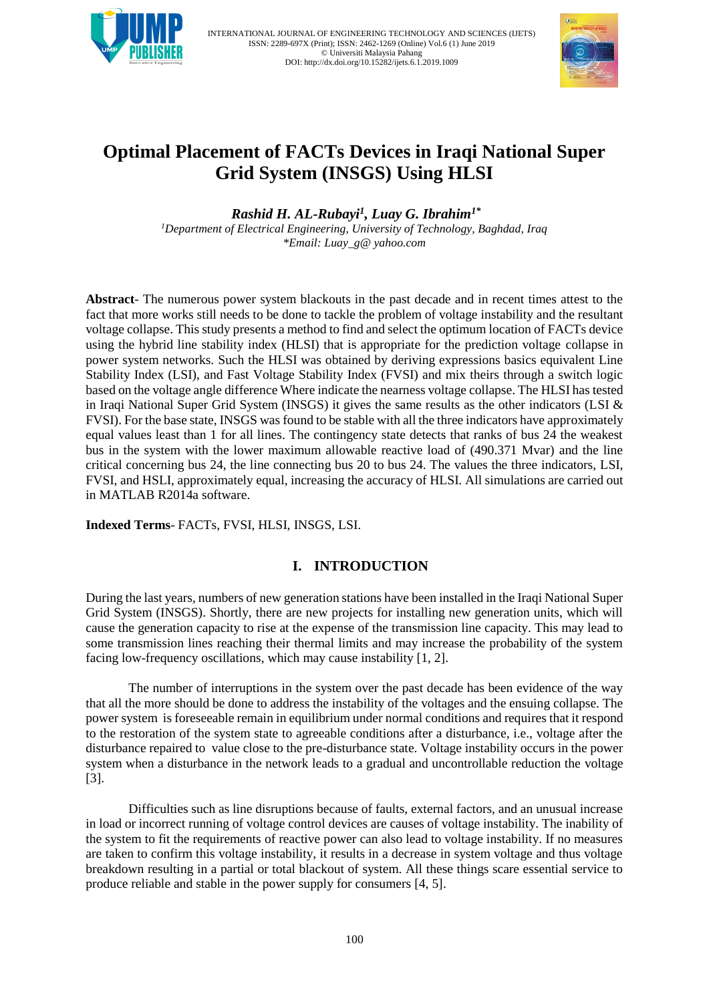



# **Optimal Placement of FACTs Devices in Iraqi National Super Grid System (INSGS) Using HLSI**

*Rashid H. AL-Rubayi<sup>1</sup> , Luay G. Ibrahim1\**

*<sup>1</sup>Department of Electrical Engineering, University of Technology, Baghdad, Iraq [\\*Email: Luay\\_g@ yahoo.com](mailto:*Email:%20sjnavale@gmail.com)* 

**Abstract**- The numerous power system blackouts in the past decade and in recent times attest to the fact that more works still needs to be done to tackle the problem of voltage instability and the resultant voltage collapse. This study presents a method to find and select the optimum location of FACTs device using the hybrid line stability index (HLSI) that is appropriate for the prediction voltage collapse in power system networks. Such the HLSI was obtained by deriving expressions basics equivalent Line Stability Index (LSI), and Fast Voltage Stability Index (FVSI) and mix theirs through a switch logic based on the voltage angle difference Where indicate the nearness voltage collapse. The HLSI has tested in Iraqi National Super Grid System (INSGS) it gives the same results as the other indicators (LSI & FVSI). For the base state, INSGS was found to be stable with all the three indicators have approximately equal values least than 1 for all lines. The contingency state detects that ranks of bus 24 the weakest bus in the system with the lower maximum allowable reactive load of (490.371 Mvar) and the line critical concerning bus 24, the line connecting bus 20 to bus 24. The values the three indicators, LSI, FVSI, and HSLI, approximately equal, increasing the accuracy of HLSI. All simulations are carried out in MATLAB R2014a software.

**Indexed Terms**- FACTs, FVSI, HLSI, INSGS, LSI.

# **I. INTRODUCTION**

During the last years, numbers of new generation stations have been installed in the Iraqi National Super Grid System (INSGS). Shortly, there are new projects for installing new generation units, which will cause the generation capacity to rise at the expense of the transmission line capacity. This may lead to some transmission lines reaching their thermal limits and may increase the probability of the system facing low-frequency oscillations, which may cause instability [1, 2].

The number of interruptions in the system over the past decade has been evidence of the way that all the more should be done to address the instability of the voltages and the ensuing collapse. The power system is foreseeable remain in equilibrium under normal conditions and requires that it respond to the restoration of the system state to agreeable conditions after a disturbance, i.e., voltage after the disturbance repaired to value close to the pre-disturbance state. Voltage instability occurs in the power system when a disturbance in the network leads to a gradual and uncontrollable reduction the voltage [3].

Difficulties such as line disruptions because of faults, external factors, and an unusual increase in load or incorrect running of voltage control devices are causes of voltage instability. The inability of the system to fit the requirements of reactive power can also lead to voltage instability. If no measures are taken to confirm this voltage instability, it results in a decrease in system voltage and thus voltage breakdown resulting in a partial or total blackout of system. All these things scare essential service to produce reliable and stable in the power supply for consumers [4, 5].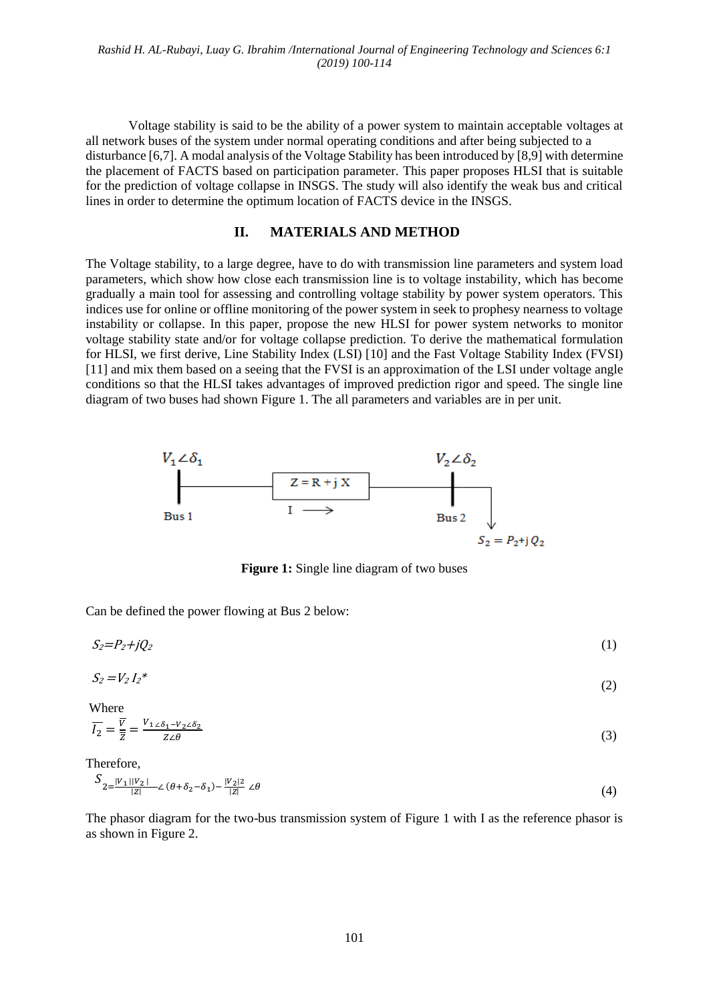Voltage stability is said to be the ability of a power system to maintain acceptable voltages at all network buses of the system under normal operating conditions and after being subjected to a disturbance [6,7]. A modal analysis of the Voltage Stability has been introduced by [8,9] with determine the placement of FACTS based on participation parameter. This paper proposes HLSI that is suitable for the prediction of voltage collapse in INSGS. The study will also identify the weak bus and critical lines in order to determine the optimum location of FACTS device in the INSGS.

#### **II. MATERIALS AND METHOD**

The Voltage stability, to a large degree, have to do with transmission line parameters and system load parameters, which show how close each transmission line is to voltage instability, which has become gradually a main tool for assessing and controlling voltage stability by power system operators. This indices use for online or offline monitoring of the power system in seek to prophesy nearness to voltage instability or collapse. In this paper, propose the new HLSI for power system networks to monitor voltage stability state and/or for voltage collapse prediction. To derive the mathematical formulation for HLSI, we first derive, Line Stability Index (LSI) [10] and the Fast Voltage Stability Index (FVSI) [11] and mix them based on a seeing that the FVSI is an approximation of the LSI under voltage angle conditions so that the HLSI takes advantages of improved prediction rigor and speed. The single line diagram of two buses had shown Figure 1. The all parameters and variables are in per unit.



**Figure 1:** Single line diagram of two buses

Can be defined the power flowing at Bus 2 below:

$$
S_2 = P_2 + jQ_2 \tag{1}
$$

$$
S_2 = V_2 I_2^* \tag{2}
$$

Where

$$
\overline{I_2} = \frac{\overline{v}}{\overline{z}} = \frac{V_{1\angle\delta_1 - V_2\angle\delta_2}}{Z\angle\theta} \tag{3}
$$

Therefore,

$$
S_{2} = \frac{|V_1||V_2|}{|Z|} \angle (\theta + \delta_2 - \delta_1) - \frac{|V_2|}{|Z|} \angle \theta \tag{4}
$$

The phasor diagram for the two-bus transmission system of Figure 1 with I as the reference phasor is as shown in Figure 2.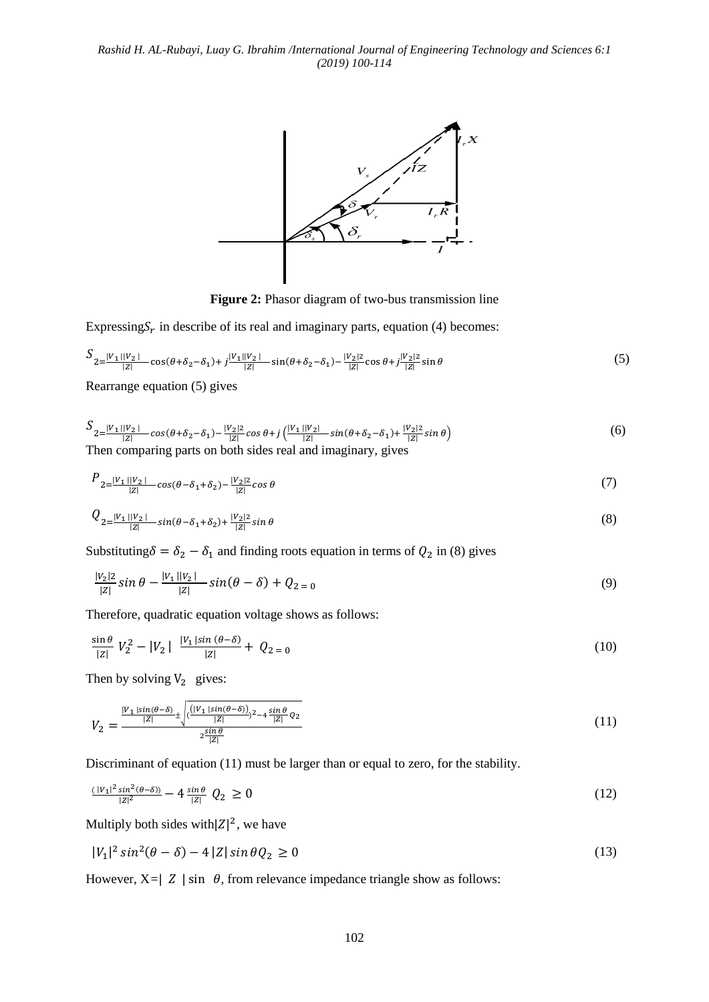

**Figure 2:** Phasor diagram of two-bus transmission line

Expressing $S_r$  in describe of its real and imaginary parts, equation (4) becomes:

$$
S_{2=\frac{|V_{1}||V_{2}|}{|Z|}\cos(\theta+\delta_{2}-\delta_{1})+j\frac{|V_{1}||V_{2}|}{|Z|}\sin(\theta+\delta_{2}-\delta_{1})-\frac{|V_{2}|^{2}}{|Z|}\cos\theta+j\frac{|V_{2}|^{2}}{|Z|}\sin\theta
$$
\n(5)

Rearrange equation (5) gives

$$
S_{2=\frac{|V_1||V_2|}{|Z|}\cos(\theta+\delta_2-\delta_1)-\frac{|V_2|}{|Z|}\cos\theta+j\left(\frac{|V_1||V_2|}{|Z|}\sin(\theta+\delta_2-\delta_1)+\frac{|V_2|}{|Z|}\sin\theta\right)}
$$
(6)  
Then comparing parts on both sides real and imaginary, gives

$$
P_{2=\frac{|V_1||V_2|}{|Z|}\cos(\theta-\delta_1+\delta_2)-\frac{|V_2|}{|Z|}\cos\theta} \tag{7}
$$

$$
Q_{2} = \frac{|V_1||V_2|}{|Z|} \sin(\theta - \delta_1 + \delta_2) + \frac{|V_2|}{|Z|} \sin \theta \tag{8}
$$

Substituting  $\delta = \delta_2 - \delta_1$  and finding roots equation in terms of  $Q_2$  in (8) gives

$$
\frac{|V_2|}{|Z|}\sin\theta - \frac{|V_1||V_2|}{|Z|}\sin(\theta - \delta) + Q_{2=0} \tag{9}
$$

Therefore, quadratic equation voltage shows as follows:

$$
\frac{\sin \theta}{|z|} V_2^2 - |V_2| \frac{|V_1| \sin (\theta - \delta)}{|z|} + Q_{2=0}
$$
\n(10)

Then by solving  $V_2$  gives:

$$
V_2 = \frac{\frac{|V_1|\sin(\theta-\delta)}{|Z|} \pm \sqrt{(\frac{|V_1|\sin(\theta-\delta))}{|Z|})^{2}-4\frac{\sin\theta}{|Z|}Q_2}}{2\frac{\sin\theta}{|Z|}}
$$
(11)

Discriminant of equation (11) must be larger than or equal to zero, for the stability.

$$
\frac{(|V_1|^2 \sin^2(\theta - \delta))}{|z|^2} - 4 \frac{\sin \theta}{|z|} \ Q_2 \ge 0 \tag{12}
$$

Multiply both sides with  $|Z|^2$ , we have

$$
|V_1|^2 \sin^2(\theta - \delta) - 4|Z| \sin \theta Q_2 \ge 0 \tag{13}
$$

However,  $X = |Z| \sin \theta$ , from relevance impedance triangle show as follows: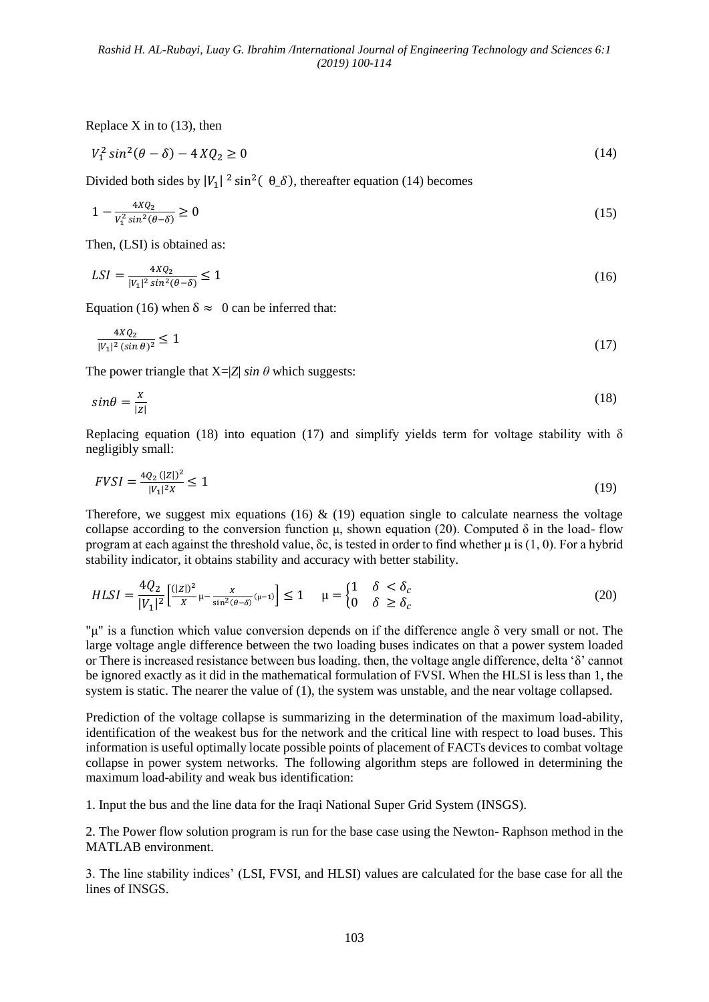Replace  $X$  in to (13), then

$$
V_1^2 \sin^2(\theta - \delta) - 4XQ_2 \ge 0 \tag{14}
$$

Divided both sides by  $|V_1|^2 \sin^2(\theta_-\delta)$ , thereafter equation (14) becomes

$$
1 - \frac{4XQ_2}{V_1^2 \sin^2(\theta - \delta)} \ge 0
$$
\n(15)

Then, (LSI) is obtained as:

$$
LSI = \frac{4XQ_2}{|V_1|^2 \sin^2(\theta - \delta)} \le 1\tag{16}
$$

Equation (16) when  $\delta \approx 0$  can be inferred that:

$$
\frac{4XQ_2}{|V_1|^2(\sin\theta)^2} \le 1\tag{17}
$$

The power triangle that  $X = |Z| \sin \theta$  which suggests:

$$
sin\theta = \frac{x}{|z|} \tag{18}
$$

Replacing equation (18) into equation (17) and simplify yields term for voltage stability with  $\delta$ negligibly small:

$$
FVSI = \frac{4Q_2\left(|Z|\right)^2}{|V_1|^2 X} \le 1\tag{19}
$$

Therefore, we suggest mix equations (16)  $\&$  (19) equation single to calculate nearness the voltage collapse according to the conversion function μ, shown equation (20). Computed δ in the load- flow program at each against the threshold value, δc, is tested in order to find whether μ is (1, 0). For a hybrid stability indicator, it obtains stability and accuracy with better stability.

$$
HLSI = \frac{4Q_2}{|V_1|^2} \left[ \frac{(|Z|)^2}{X} \mu - \frac{X}{\sin^2(\theta - \delta)} (\mu - 1) \right] \le 1 \qquad \mu = \begin{cases} 1 & \delta < \delta_c \\ 0 & \delta \ge \delta_c \end{cases} \tag{20}
$$

"μ" is a function which value conversion depends on if the difference angle δ very small or not. The large voltage angle difference between the two loading buses indicates on that a power system loaded or There is increased resistance between bus loading. then, the voltage angle difference, delta 'δ' cannot be ignored exactly as it did in the mathematical formulation of FVSI. When the HLSI is less than 1, the system is static. The nearer the value of (1), the system was unstable, and the near voltage collapsed.

Prediction of the voltage collapse is summarizing in the determination of the maximum load-ability, identification of the weakest bus for the network and the critical line with respect to load buses. This information is useful optimally locate possible points of placement of FACTs devices to combat voltage collapse in power system networks. The following algorithm steps are followed in determining the maximum load-ability and weak bus identification:

1. Input the bus and the line data for the Iraqi National Super Grid System (INSGS).

2. The Power flow solution program is run for the base case using the Newton- Raphson method in the MATLAB environment.

3. The line stability indices' (LSI, FVSI, and HLSI) values are calculated for the base case for all the lines of INSGS.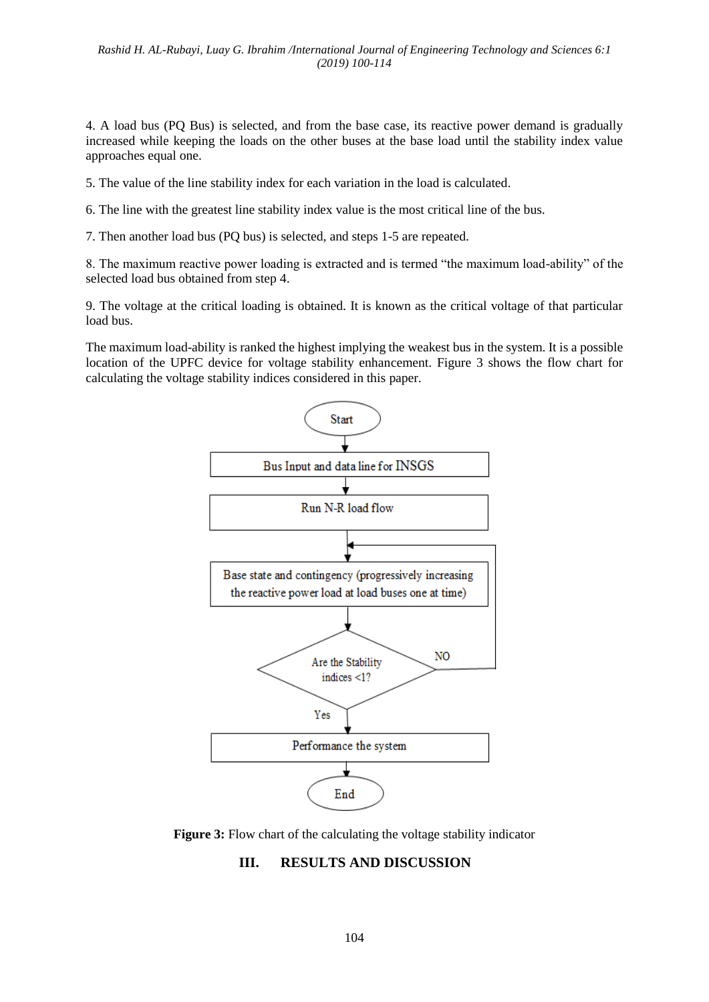4. A load bus (PQ Bus) is selected, and from the base case, its reactive power demand is gradually increased while keeping the loads on the other buses at the base load until the stability index value approaches equal one.

5. The value of the line stability index for each variation in the load is calculated.

6. The line with the greatest line stability index value is the most critical line of the bus.

7. Then another load bus (PQ bus) is selected, and steps 1-5 are repeated.

8. The maximum reactive power loading is extracted and is termed "the maximum load-ability" of the selected load bus obtained from step 4.

9. The voltage at the critical loading is obtained. It is known as the critical voltage of that particular load bus.

The maximum load-ability is ranked the highest implying the weakest bus in the system. It is a possible location of the UPFC device for voltage stability enhancement. Figure 3 shows the flow chart for calculating the voltage stability indices considered in this paper.



**Figure 3:** Flow chart of the calculating the voltage stability indicator

# **III. RESULTS AND DISCUSSION**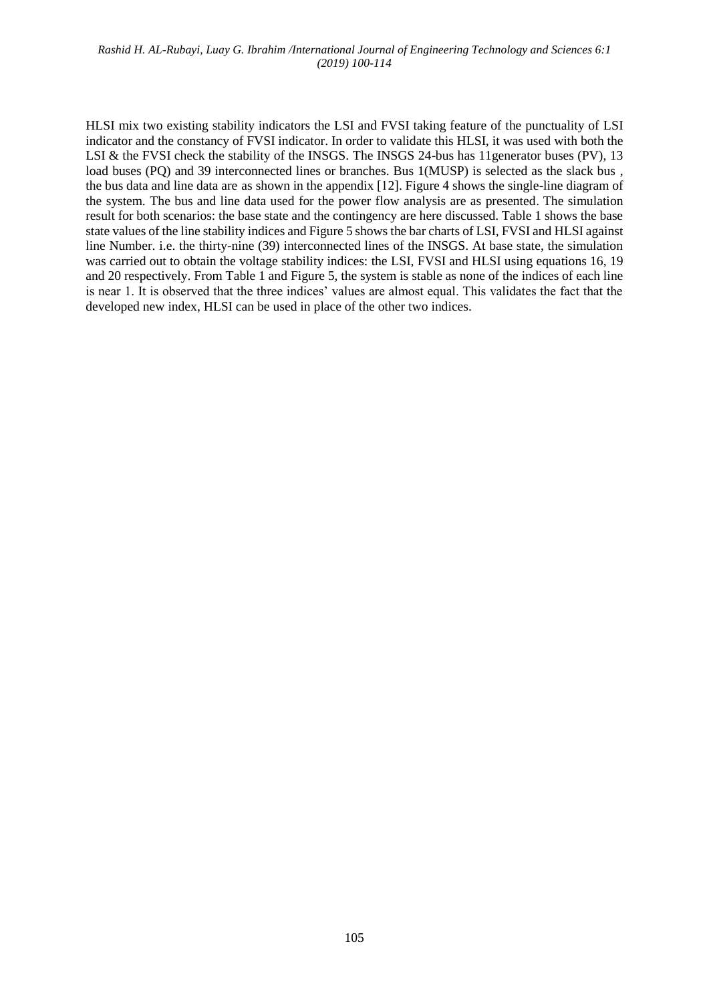HLSI mix two existing stability indicators the LSI and FVSI taking feature of the punctuality of LSI indicator and the constancy of FVSI indicator. In order to validate this HLSI, it was used with both the LSI & the FVSI check the stability of the INSGS. The INSGS 24-bus has 11generator buses (PV), 13 load buses (PQ) and 39 interconnected lines or branches. Bus 1(MUSP) is selected as the slack bus , the bus data and line data are as shown in the appendix [12]. Figure 4 shows the single-line diagram of the system. The bus and line data used for the power flow analysis are as presented. The simulation result for both scenarios: the base state and the contingency are here discussed. Table 1 shows the base state values of the line stability indices and Figure 5 shows the bar charts of LSI, FVSI and HLSI against line Number. i.e. the thirty-nine (39) interconnected lines of the INSGS. At base state, the simulation was carried out to obtain the voltage stability indices: the LSI, FVSI and HLSI using equations 16, 19 and 20 respectively. From Table 1 and Figure 5, the system is stable as none of the indices of each line is near 1. It is observed that the three indices' values are almost equal. This validates the fact that the developed new index, HLSI can be used in place of the other two indices.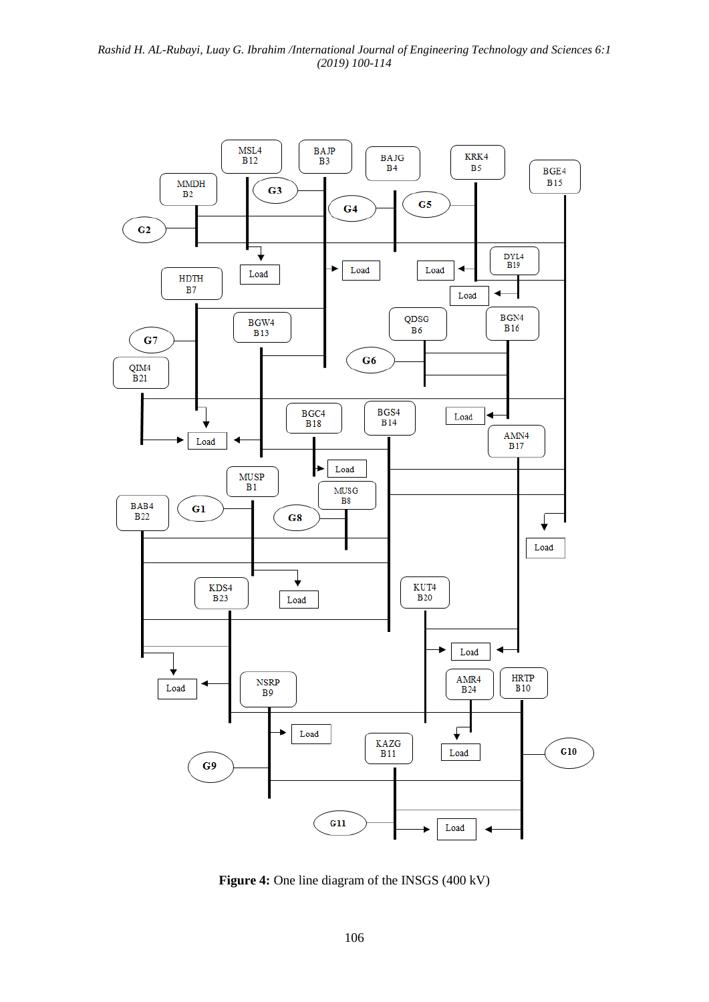

**Figure 4:** One line diagram of the INSGS (400 kV)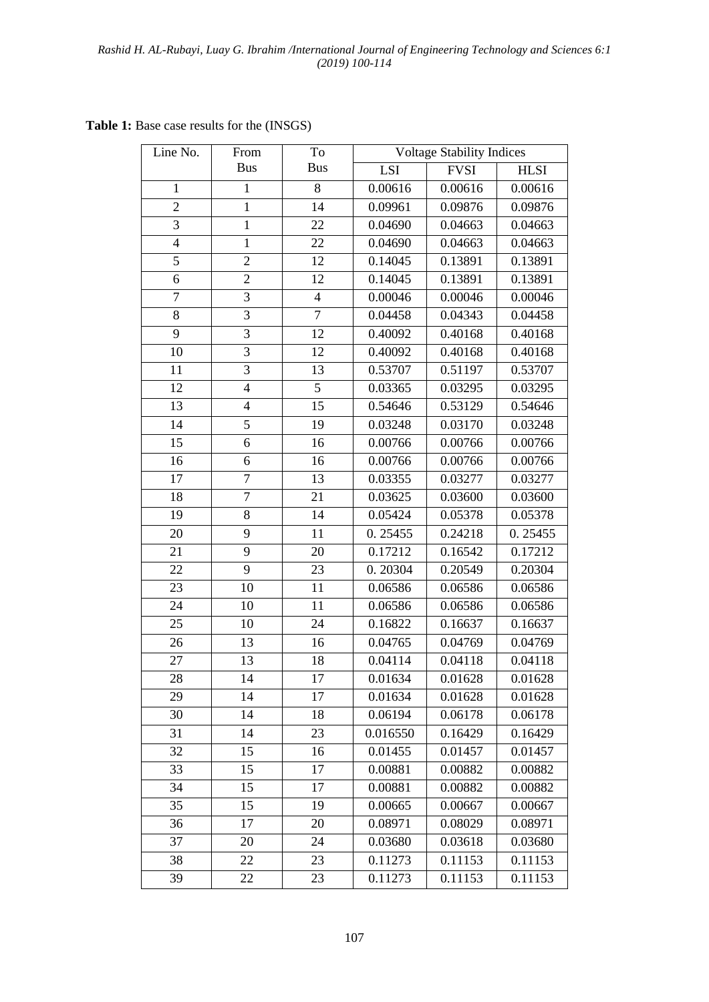**Table 1:** Base case results for the (INSGS)

| Line No.         | From           | To             | <b>Voltage Stability Indices</b> |             |             |  |  |
|------------------|----------------|----------------|----------------------------------|-------------|-------------|--|--|
|                  | <b>Bus</b>     | <b>Bus</b>     | LSI                              | <b>FVSI</b> | <b>HLSI</b> |  |  |
| $\mathbf{1}$     | $\mathbf{1}$   | 8              | 0.00616                          | 0.00616     | 0.00616     |  |  |
| $\overline{2}$   | $\mathbf{1}$   | 14             | 0.09961                          | 0.09876     | 0.09876     |  |  |
| 3                | $\mathbf{1}$   | 22             | 0.04690                          | 0.04663     | 0.04663     |  |  |
| $\overline{4}$   | $\mathbf{1}$   | 22             | 0.04690                          | 0.04663     | 0.04663     |  |  |
| 5                | $\overline{2}$ | 12             | 0.14045                          | 0.13891     | 0.13891     |  |  |
| 6                | $\overline{2}$ | 12             | 0.14045                          | 0.13891     | 0.13891     |  |  |
| $\boldsymbol{7}$ | 3              | $\overline{4}$ | 0.00046                          | 0.00046     | 0.00046     |  |  |
| 8                | 3              | $\tau$         | 0.04458                          | 0.04343     | 0.04458     |  |  |
| 9                | $\overline{3}$ | 12             | 0.40092                          | 0.40168     | 0.40168     |  |  |
| 10               | $\overline{3}$ | 12             | 0.40092                          | 0.40168     | 0.40168     |  |  |
| 11               | 3              | 13             | 0.53707                          | 0.51197     | 0.53707     |  |  |
| 12               | $\overline{4}$ | $\overline{5}$ | 0.03365                          | 0.03295     | 0.03295     |  |  |
| 13               | $\overline{4}$ | 15             | 0.54646                          | 0.53129     | 0.54646     |  |  |
| 14               | 5              | 19             | 0.03248                          | 0.03170     | 0.03248     |  |  |
| 15               | 6              | 16             | 0.00766                          | 0.00766     | 0.00766     |  |  |
| 16               | 6              | 16             | 0.00766                          | 0.00766     | 0.00766     |  |  |
| 17               | 7              | 13             | 0.03355                          | 0.03277     | 0.03277     |  |  |
| 18               | $\overline{7}$ | 21             | 0.03625                          | 0.03600     | 0.03600     |  |  |
| 19               | 8              | 14             | 0.05424                          | 0.05378     | 0.05378     |  |  |
| 20               | 9              | 11             | 0.25455                          | 0.24218     | 0.25455     |  |  |
| 21               | 9              | 20             | 0.17212                          | 0.16542     | 0.17212     |  |  |
| 22               | 9              | 23             | 0.20304                          | 0.20549     | 0.20304     |  |  |
| 23               | 10             | 11             | 0.06586                          | 0.06586     | 0.06586     |  |  |
| 24               | 10             | 11             | 0.06586                          | 0.06586     | 0.06586     |  |  |
| 25               | 10             | 24             | 0.16822                          | 0.16637     | 0.16637     |  |  |
| 26               | 13             | 16             | 0.04765                          | 0.04769     | 0.04769     |  |  |
| 27               | 13             | 18             | 0.04114                          | 0.04118     | 0.04118     |  |  |
| 28               | 14             | 17             | 0.01634                          | 0.01628     | 0.01628     |  |  |
| 29               | 14             | 17             | 0.01634                          | 0.01628     | 0.01628     |  |  |
| 30               | 14             | 18             | 0.06194                          | 0.06178     | 0.06178     |  |  |
| 31               | 14             | 23             | 0.016550                         | 0.16429     | 0.16429     |  |  |
| 32               | 15             | 16             | 0.01455                          | 0.01457     | 0.01457     |  |  |
| 33               | 15             | 17             | 0.00881                          | 0.00882     | 0.00882     |  |  |
| 34               | 15             | 17             | 0.00881                          | 0.00882     | 0.00882     |  |  |
| 35               | 15             | 19             | 0.00665                          | 0.00667     | 0.00667     |  |  |
| 36               | 17             | 20             | 0.08971                          | 0.08029     | 0.08971     |  |  |
| 37               | 20             | 24             | 0.03680                          | 0.03618     | 0.03680     |  |  |
| 38               | 22             | 23             | 0.11273                          | 0.11153     | 0.11153     |  |  |
| 39               | 22             | 23             | 0.11273                          | 0.11153     | 0.11153     |  |  |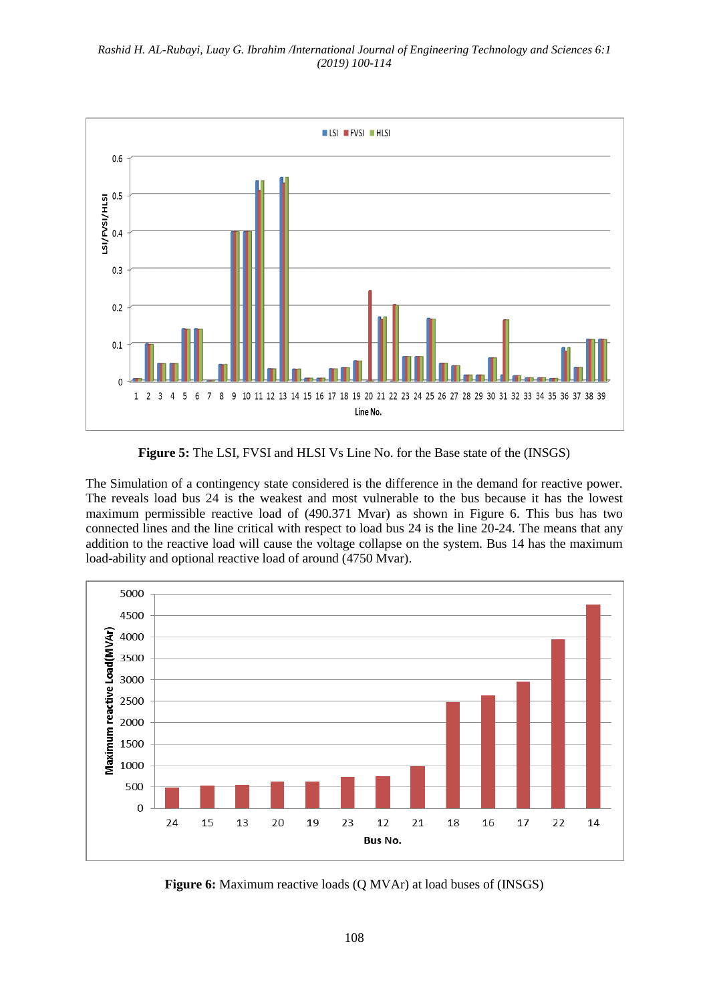

**Figure 5:** The LSI, FVSI and HLSI Vs Line No. for the Base state of the (INSGS)

The Simulation of a contingency state considered is the difference in the demand for reactive power. The reveals load bus 24 is the weakest and most vulnerable to the bus because it has the lowest maximum permissible reactive load of (490.371 Mvar) as shown in Figure 6. This bus has two connected lines and the line critical with respect to load bus 24 is the line 20-24. The means that any addition to the reactive load will cause the voltage collapse on the system. Bus 14 has the maximum load-ability and optional reactive load of around (4750 Mvar).



**Figure 6:** Maximum reactive loads (Q MVAr) at load buses of (INSGS)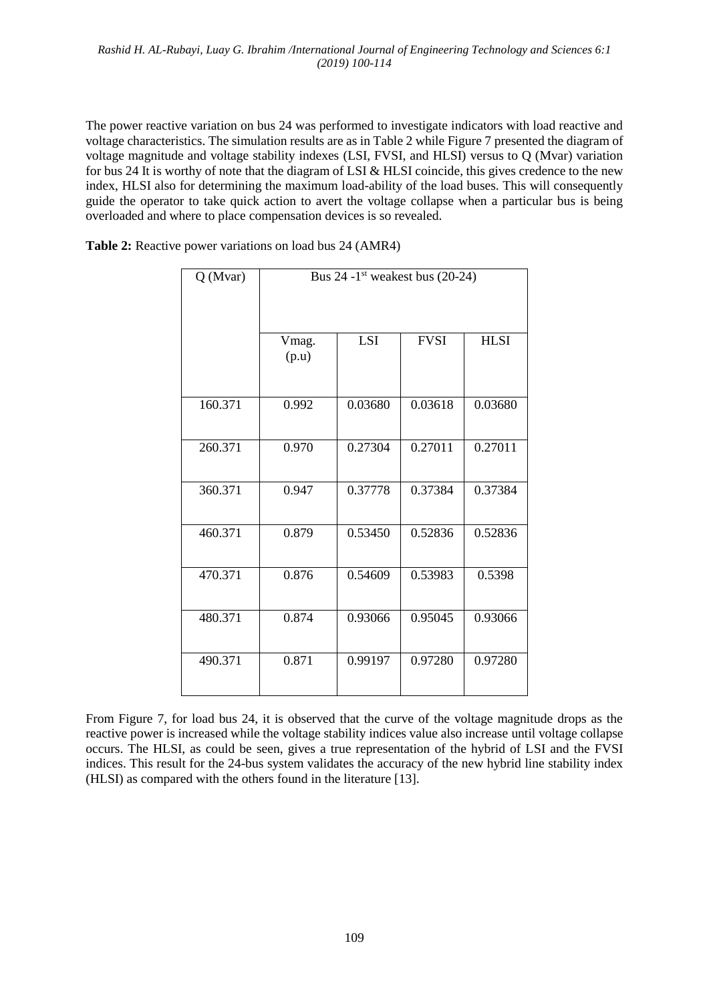The power reactive variation on bus 24 was performed to investigate indicators with load reactive and voltage characteristics. The simulation results are as in Table 2 while Figure 7 presented the diagram of voltage magnitude and voltage stability indexes (LSI, FVSI, and HLSI) versus to Q (Mvar) variation for bus 24 It is worthy of note that the diagram of LSI & HLSI coincide, this gives credence to the new index, HLSI also for determining the maximum load-ability of the load buses. This will consequently guide the operator to take quick action to avert the voltage collapse when a particular bus is being overloaded and where to place compensation devices is so revealed.

**Table 2:** Reactive power variations on load bus 24 (AMR4)

| Q(Mvar) | Bus $24 - 1$ <sup>st</sup> weakest bus (20-24) |            |             |             |  |  |  |
|---------|------------------------------------------------|------------|-------------|-------------|--|--|--|
|         | Vmag.<br>(p.u)                                 | <b>LSI</b> | <b>FVSI</b> | <b>HLSI</b> |  |  |  |
| 160.371 | 0.992                                          | 0.03680    | 0.03618     | 0.03680     |  |  |  |
| 260.371 | 0.970                                          | 0.27304    | 0.27011     | 0.27011     |  |  |  |
| 360.371 | 0.947                                          | 0.37778    | 0.37384     | 0.37384     |  |  |  |
| 460.371 | 0.879                                          | 0.53450    | 0.52836     | 0.52836     |  |  |  |
| 470.371 | 0.876                                          | 0.54609    | 0.53983     | 0.5398      |  |  |  |
| 480.371 | 0.874                                          | 0.93066    | 0.95045     | 0.93066     |  |  |  |
| 490.371 | 0.871                                          | 0.99197    | 0.97280     | 0.97280     |  |  |  |

From Figure 7, for load bus 24, it is observed that the curve of the voltage magnitude drops as the reactive power is increased while the voltage stability indices value also increase until voltage collapse occurs. The HLSI, as could be seen, gives a true representation of the hybrid of LSI and the FVSI indices. This result for the 24-bus system validates the accuracy of the new hybrid line stability index (HLSI) as compared with the others found in the literature [13].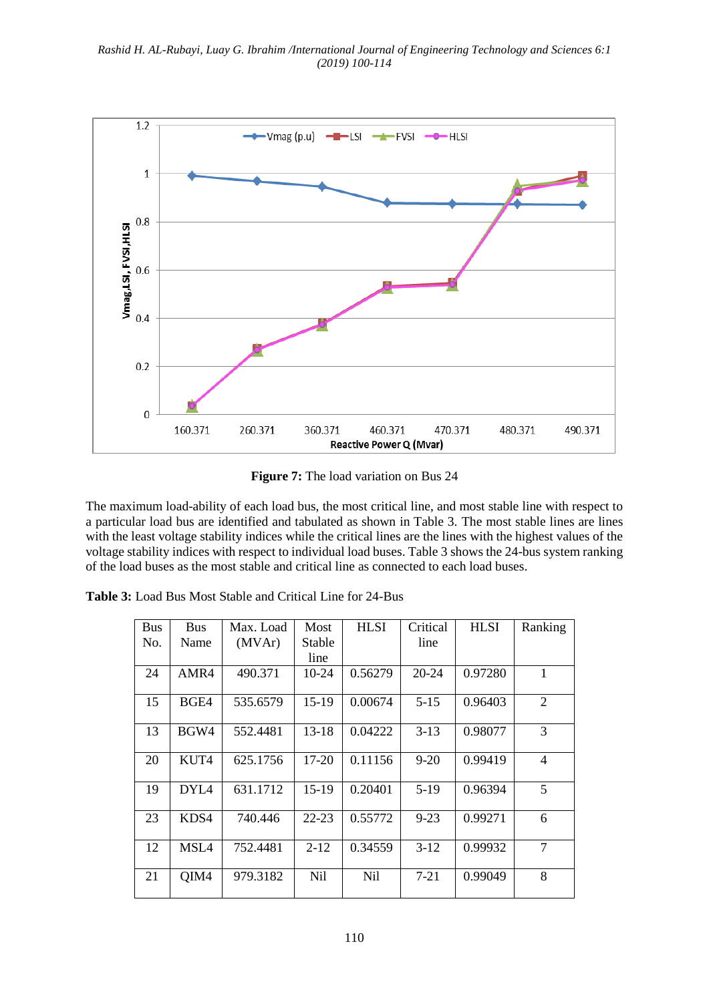

**Figure 7:** The load variation on Bus 24

The maximum load-ability of each load bus, the most critical line, and most stable line with respect to a particular load bus are identified and tabulated as shown in Table 3. The most stable lines are lines with the least voltage stability indices while the critical lines are the lines with the highest values of the voltage stability indices with respect to individual load buses. Table 3 shows the 24-bus system ranking of the load buses as the most stable and critical line as connected to each load buses.

| <b>Table 3:</b> Load Bus Most Stable and Critical Line for 24-Bus |
|-------------------------------------------------------------------|
|-------------------------------------------------------------------|

| <b>Bus</b> | <b>Bus</b>       | Max. Load | Most      | <b>HLSI</b> | Critical | <b>HLSI</b> | Ranking        |
|------------|------------------|-----------|-----------|-------------|----------|-------------|----------------|
| No.        | Name             | (MVAr)    | Stable    |             | line     |             |                |
|            |                  |           | line      |             |          |             |                |
| 24         | AMR4             | 490.371   | 10-24     | 0.56279     | 20-24    | 0.97280     | $\mathbf{1}$   |
| 15         | BGE4             | 535.6579  | $15-19$   | 0.00674     | $5 - 15$ | 0.96403     | $\overline{2}$ |
| 13         | BGW4             | 552.4481  | $13 - 18$ | 0.04222     | $3-13$   | 0.98077     | 3              |
| 20         | KUT4             | 625.1756  | 17-20     | 0.11156     | $9 - 20$ | 0.99419     | $\overline{4}$ |
| 19         | DYL <sub>4</sub> | 631.1712  | $15-19$   | 0.20401     | $5-19$   | 0.96394     | 5              |
| 23         | KDS4             | 740.446   | $22 - 23$ | 0.55772     | $9 - 23$ | 0.99271     | 6              |
| 12         | MSL4             | 752.4481  | $2 - 12$  | 0.34559     | $3-12$   | 0.99932     | $\overline{7}$ |
| 21         | QIM4             | 979.3182  | Nil       | Nil         | $7 - 21$ | 0.99049     | 8              |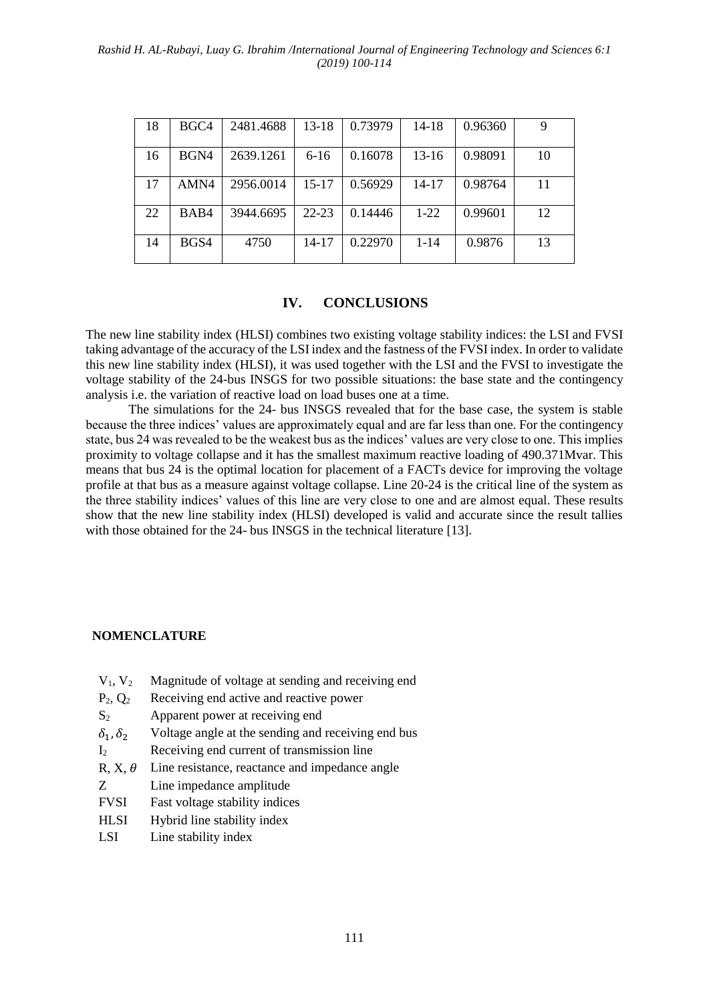#### *Rashid H. AL-Rubayi, Luay G. Ibrahim /International Journal of Engineering Technology and Sciences 6:1 (2019) 100-114*

| 18 | BGC <sub>4</sub> | 2481.4688 | $13 - 18$ | 0.73979 | $14 - 18$ | 0.96360 |    |
|----|------------------|-----------|-----------|---------|-----------|---------|----|
| 16 | BGN4             | 2639.1261 | $6-16$    | 0.16078 | $13-16$   | 0.98091 | 10 |
| 17 | AMN4             | 2956.0014 | $15 - 17$ | 0.56929 | $14 - 17$ | 0.98764 | 11 |
| 22 | BAB4             | 3944.6695 | $22 - 23$ | 0.14446 | $1-22$    | 0.99601 | 12 |
| 14 | BGS4             | 4750      | 14-17     | 0.22970 | $1 - 14$  | 0.9876  | 13 |

### **IV. CONCLUSIONS**

The new line stability index (HLSI) combines two existing voltage stability indices: the LSI and FVSI taking advantage of the accuracy of the LSI index and the fastness of the FVSI index. In order to validate this new line stability index (HLSI), it was used together with the LSI and the FVSI to investigate the voltage stability of the 24-bus INSGS for two possible situations: the base state and the contingency analysis i.e. the variation of reactive load on load buses one at a time.

The simulations for the 24- bus INSGS revealed that for the base case, the system is stable because the three indices' values are approximately equal and are far less than one. For the contingency state, bus 24 was revealed to be the weakest bus as the indices' values are very close to one. This implies proximity to voltage collapse and it has the smallest maximum reactive loading of 490.371Mvar. This means that bus 24 is the optimal location for placement of a FACTs device for improving the voltage profile at that bus as a measure against voltage collapse. Line 20-24 is the critical line of the system as the three stability indices' values of this line are very close to one and are almost equal. These results show that the new line stability index (HLSI) developed is valid and accurate since the result tallies with those obtained for the 24- bus INSGS in the technical literature [13].

#### **NOMENCLATURE**

- $V_1$ ,  $V_2$  Magnitude of voltage at sending and receiving end
- $P_2$ ,  $Q_2$  Receiving end active and reactive power
- S<sub>2</sub> Apparent power at receiving end
- $\delta_1, \delta_2$  Voltage angle at the sending and receiving end bus
- I<sup>2</sup> Receiving end current of transmission line
- R,  $X, \theta$  Line resistance, reactance and impedance angle
- Z Line impedance amplitude
- FVSI Fast voltage stability indices
- HLSI Hybrid line stability index
- LSI Line stability index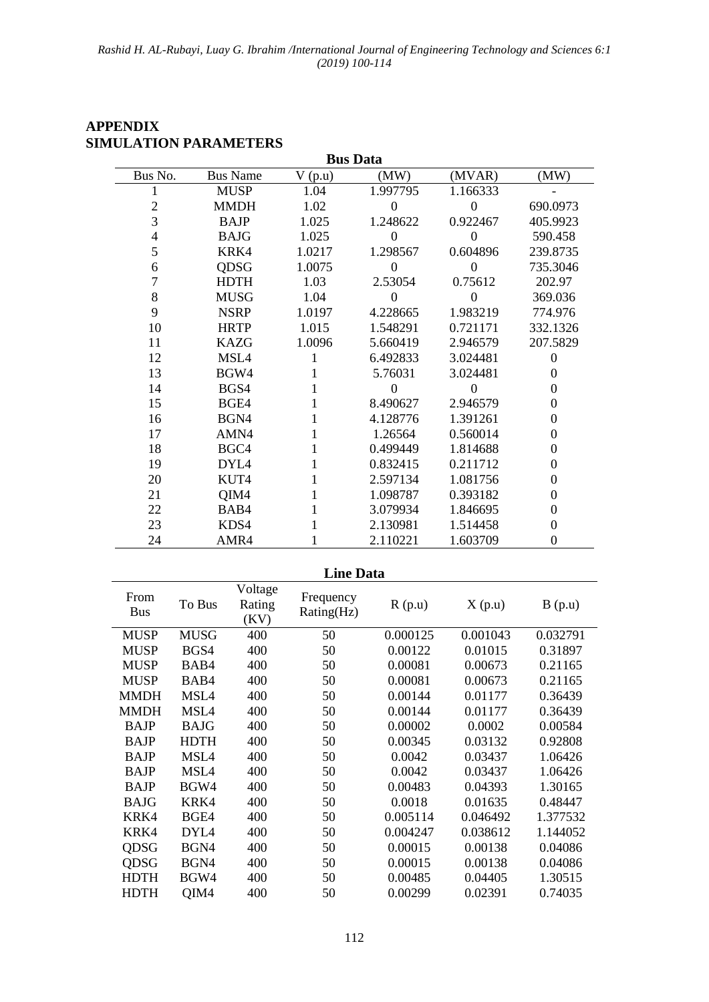| <b>Bus Data</b> |                 |        |                |          |                  |  |  |  |
|-----------------|-----------------|--------|----------------|----------|------------------|--|--|--|
| Bus No.         | <b>Bus Name</b> | V(p.u) | (MW)           | (MVAR)   | (MW)             |  |  |  |
|                 | <b>MUSP</b>     | 1.04   | 1.997795       | 1.166333 |                  |  |  |  |
| $\overline{c}$  | <b>MMDH</b>     | 1.02   | $\theta$       | $\Omega$ | 690.0973         |  |  |  |
| $\overline{3}$  | <b>BAJP</b>     | 1.025  | 1.248622       | 0.922467 | 405.9923         |  |  |  |
| 4               | <b>BAJG</b>     | 1.025  | $\overline{0}$ | $\Omega$ | 590.458          |  |  |  |
| 5               | KRK4            | 1.0217 | 1.298567       | 0.604896 | 239.8735         |  |  |  |
| 6               | QDSG            | 1.0075 | $\theta$       | $\Omega$ | 735.3046         |  |  |  |
| 7               | <b>HDTH</b>     | 1.03   | 2.53054        | 0.75612  | 202.97           |  |  |  |
| 8               | <b>MUSG</b>     | 1.04   | $\Omega$       | $\Omega$ | 369.036          |  |  |  |
| 9               | <b>NSRP</b>     | 1.0197 | 4.228665       | 1.983219 | 774.976          |  |  |  |
| 10              | <b>HRTP</b>     | 1.015  | 1.548291       | 0.721171 | 332.1326         |  |  |  |
| 11              | <b>KAZG</b>     | 1.0096 | 5.660419       | 2.946579 | 207.5829         |  |  |  |
| 12              | MSL4            |        | 6.492833       | 3.024481 | $\overline{0}$   |  |  |  |
| 13              | BGW4            |        | 5.76031        | 3.024481 | 0                |  |  |  |
| 14              | BGS4            |        |                | $\Omega$ | 0                |  |  |  |
| 15              | BGE4            |        | 8.490627       | 2.946579 | $\boldsymbol{0}$ |  |  |  |
| 16              | BGN4            |        | 4.128776       | 1.391261 | 0                |  |  |  |
| 17              | AMN4            |        | 1.26564        | 0.560014 | 0                |  |  |  |
| 18              | BGC4            |        | 0.499449       | 1.814688 | 0                |  |  |  |
| 19              | DYL4            |        | 0.832415       | 0.211712 | $\boldsymbol{0}$ |  |  |  |
| 20              | KUT4            |        | 2.597134       | 1.081756 | $\boldsymbol{0}$ |  |  |  |
| 21              | QIM4            |        | 1.098787       | 0.393182 | 0                |  |  |  |
| 22              | BAB4            |        | 3.079934       | 1.846695 | $\boldsymbol{0}$ |  |  |  |
| 23              | KDS4            |        | 2.130981       | 1.514458 | $\boldsymbol{0}$ |  |  |  |
| 24              | AMR4            |        | 2.110221       | 1.603709 | 0                |  |  |  |

## **APPENDIX SIMULATION PARAMETERS**

| <b>Line Data</b>   |                  |                           |                         |          |          |          |  |  |
|--------------------|------------------|---------------------------|-------------------------|----------|----------|----------|--|--|
| From<br><b>Bus</b> | To Bus           | Voltage<br>Rating<br>(KV) | Frequency<br>Rating(Hz) | R(p.u)   | X(p.u)   | B(p.u)   |  |  |
| <b>MUSP</b>        | <b>MUSG</b>      | 400                       | 50                      | 0.000125 | 0.001043 | 0.032791 |  |  |
| <b>MUSP</b>        | BGS4             | 400                       | 50                      | 0.00122  | 0.01015  | 0.31897  |  |  |
| <b>MUSP</b>        | BAB4             | 400                       | 50                      | 0.00081  | 0.00673  | 0.21165  |  |  |
| <b>MUSP</b>        | BAB4             | 400                       | 50                      | 0.00081  | 0.00673  | 0.21165  |  |  |
| <b>MMDH</b>        | MSL4             | 400                       | 50                      | 0.00144  | 0.01177  | 0.36439  |  |  |
| <b>MMDH</b>        | MSL4             | 400                       | 50                      | 0.00144  | 0.01177  | 0.36439  |  |  |
| <b>BAJP</b>        | <b>BAJG</b>      | 400                       | 50                      | 0.00002  | 0.0002   | 0.00584  |  |  |
| <b>BAJP</b>        | <b>HDTH</b>      | 400                       | 50                      | 0.00345  | 0.03132  | 0.92808  |  |  |
| <b>BAJP</b>        | MSL4             | 400                       | 50                      | 0.0042   | 0.03437  | 1.06426  |  |  |
| <b>BAJP</b>        | MSL <sub>4</sub> | 400                       | 50                      | 0.0042   | 0.03437  | 1.06426  |  |  |
| <b>BAJP</b>        | BGW4             | 400                       | 50                      | 0.00483  | 0.04393  | 1.30165  |  |  |
| <b>BAJG</b>        | KRK4             | 400                       | 50                      | 0.0018   | 0.01635  | 0.48447  |  |  |
| KRK4               | BGE4             | 400                       | 50                      | 0.005114 | 0.046492 | 1.377532 |  |  |
| KRK4               | DYL4             | 400                       | 50                      | 0.004247 | 0.038612 | 1.144052 |  |  |
| QDSG               | BGN4             | 400                       | 50                      | 0.00015  | 0.00138  | 0.04086  |  |  |
| QDSG               | BGN4             | 400                       | 50                      | 0.00015  | 0.00138  | 0.04086  |  |  |
| <b>HDTH</b>        | BGW4             | 400                       | 50                      | 0.00485  | 0.04405  | 1.30515  |  |  |
| <b>HDTH</b>        | QIM4             | 400                       | 50                      | 0.00299  | 0.02391  | 0.74035  |  |  |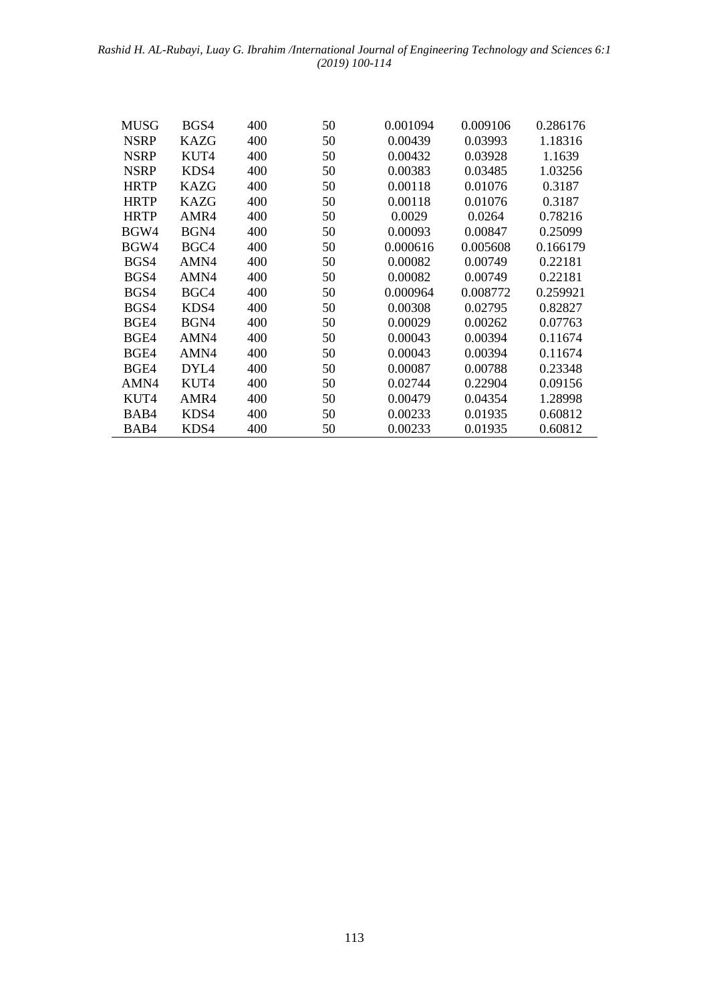#### *Rashid H. AL-Rubayi, Luay G. Ibrahim /International Journal of Engineering Technology and Sciences 6:1 (2019) 100-114*

| MUSG        | BGS4             | 400 | 50 | 0.001094 | 0.009106 | 0.286176 |
|-------------|------------------|-----|----|----------|----------|----------|
| <b>NSRP</b> | <b>KAZG</b>      | 400 | 50 | 0.00439  | 0.03993  | 1.18316  |
| <b>NSRP</b> | KUT4             | 400 | 50 | 0.00432  | 0.03928  | 1.1639   |
| <b>NSRP</b> | KDS4             | 400 | 50 | 0.00383  | 0.03485  | 1.03256  |
| <b>HRTP</b> | <b>KAZG</b>      | 400 | 50 | 0.00118  | 0.01076  | 0.3187   |
| <b>HRTP</b> | KAZG             | 400 | 50 | 0.00118  | 0.01076  | 0.3187   |
| <b>HRTP</b> | AMR4             | 400 | 50 | 0.0029   | 0.0264   | 0.78216  |
| BGW4        | BGN4             | 400 | 50 | 0.00093  | 0.00847  | 0.25099  |
| BGW4        | BGC4             | 400 | 50 | 0.000616 | 0.005608 | 0.166179 |
| BGS4        | AMN4             | 400 | 50 | 0.00082  | 0.00749  | 0.22181  |
| BGS4        | AMN4             | 400 | 50 | 0.00082  | 0.00749  | 0.22181  |
| BGS4        | BGC4             | 400 | 50 | 0.000964 | 0.008772 | 0.259921 |
| BGS4        | KDS4             | 400 | 50 | 0.00308  | 0.02795  | 0.82827  |
| BGE4        | BGN4             | 400 | 50 | 0.00029  | 0.00262  | 0.07763  |
| BGE4        | AMN4             | 400 | 50 | 0.00043  | 0.00394  | 0.11674  |
| BGE4        | AMN4             | 400 | 50 | 0.00043  | 0.00394  | 0.11674  |
| BGE4        | DYL <sub>4</sub> | 400 | 50 | 0.00087  | 0.00788  | 0.23348  |
| AMN4        | KUT4             | 400 | 50 | 0.02744  | 0.22904  | 0.09156  |
| KUT4        | AMR4             | 400 | 50 | 0.00479  | 0.04354  | 1.28998  |
| BAB4        | KDS4             | 400 | 50 | 0.00233  | 0.01935  | 0.60812  |
| BAB4        | KDS4             | 400 | 50 | 0.00233  | 0.01935  | 0.60812  |